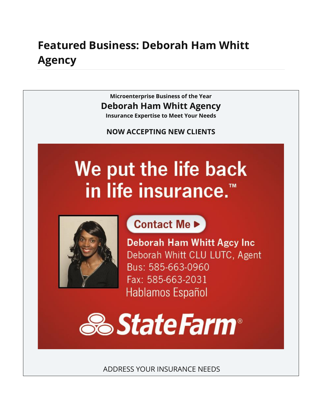## **Featured Business: Deborah Ham Whitt Agency**

**Microenterprise Business of the Year Deborah Ham Whitt Agency Insurance Expertise to Meet Your Needs**

**NOW ACCEPTING NEW CLIENTS**

# We put the life back in life insurance.<sup>™</sup>



Contact Me ▶

**Deborah Ham Whitt Agcy Inc** Deborah Whitt CLU LUTC, Agent Bus: 585-663-0960 Fax: 585-663-2031 Hablamos Español



ADDRESS YOUR INSURANCE NEEDS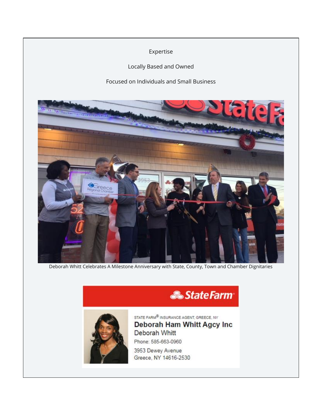Expertise

Locally Based and Owned

Focused on Individuals and Small Business



Deborah Whitt Celebrates A Milestone Anniversary with State, County, Town and Chamber Dignitaries





STATE FARM<sup>®</sup> INSURANCE AGENT, GREECE, NY Deborah Ham Whitt Agcy Inc Deborah Whitt Phone: 585-663-0960 3953 Dewey Avenue

Greece, NY 14616-2530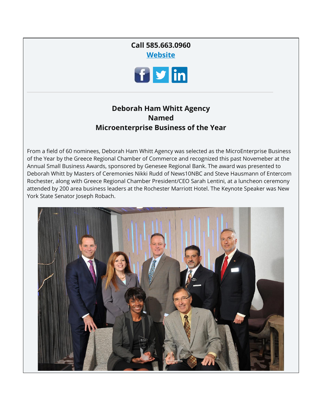### **Call 585.663.0960 [Website](https://www.statefarm.com/agent/US/NY/Rochester/Deborah-Whitt-PGZQN1YS000)**



#### **Deborah Ham Whitt Agency Named Microenterprise Business of the Year**

From a field of 60 nominees, Deborah Ham Whitt Agency was selected as the MicroEnterprise Business of the Year by the Greece Regional Chamber of Commerce and recognized this past Novemeber at the Annual Small Business Awards, sponsored by Genesee Regional Bank. The award was presented to Deborah Whitt by Masters of Ceremonies Nikki Rudd of News10NBC and Steve Hausmann of Entercom Rochester, along with Greece Regional Chamber President/CEO Sarah Lentini, at a luncheon ceremony attended by 200 area business leaders at the Rochester Marriott Hotel. The Keynote Speaker was New York State Senator Joseph Robach.

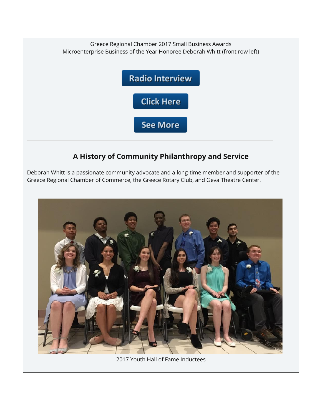

### **A History of Community Philanthropy and Service**

Deborah Whitt is a passionate community advocate and a long-time member and supporter of the Greece Regional Chamber of Commerce, the Greece Rotary Club, and Geva Theatre Center.



2017 Youth Hall of Fame Inductees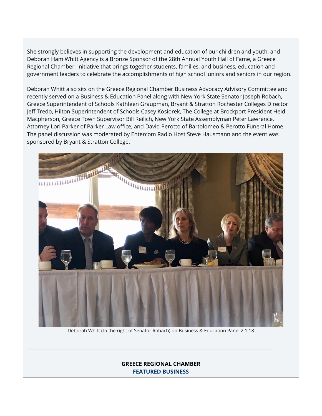She strongly believes in supporting the development and education of our children and youth, and Deborah Ham Whitt Agency is a Bronze Sponsor of the 28th Annual Youth Hall of Fame, a Greece Regional Chamber initiative that brings together students, families, and business, education and government leaders to celebrate the accomplishments of high school juniors and seniors in our region.

Deborah Whitt also sits on the Greece Regional Chamber Business Advocacy Advisory Committee and recently served on a Business & Education Panel along with New York State Senator Joseph Robach, Greece Superintendent of Schools Kathleen Graupman, Bryant & Stratton Rochester Colleges Director Jeff Tredo, Hilton Superintendent of Schools Casey Kosiorek, The College at Brockport President Heidi Macpherson, Greece Town Supervisor Bill Reilich, New York State Assemblyman Peter Lawrence, Attorney Lori Parker of Parker Law office, and David Perotto of Bartolomeo & Perotto Funeral Home. The panel discussion was moderated by Entercom Radio Host Steve Hausmann and the event was sponsored by Bryant & Stratton College.



Deborah Whitt (to the right of Senator Robach) on Business & Education Panel 2.1.18

**GREECE REGIONAL CHAMBER FEATURED BUSINESS**